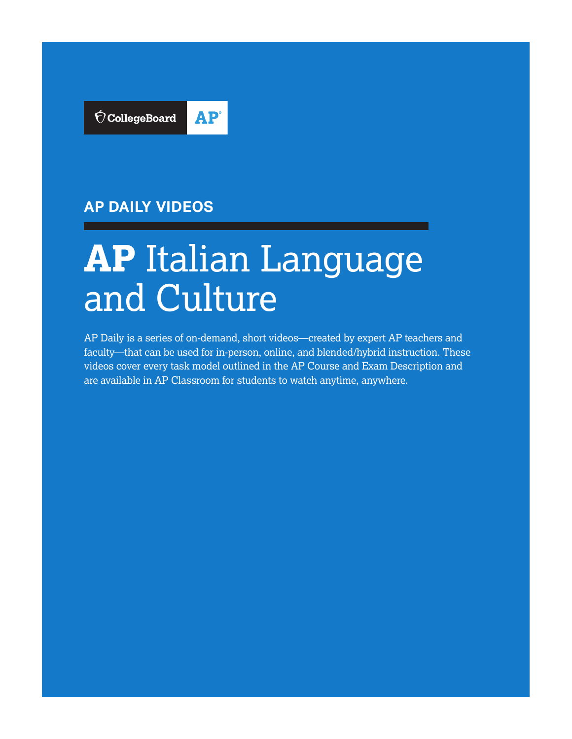

## **AP DAILY VIDEOS**

# **AP** Italian Language and Culture

AP Daily is a series of on-demand, short videos—created by expert AP teachers and faculty—that can be used for in-person, online, and blended/hybrid instruction. These videos cover every task model outlined in the AP Course and Exam Description and are available in AP Classroom for students to watch anytime, anywhere.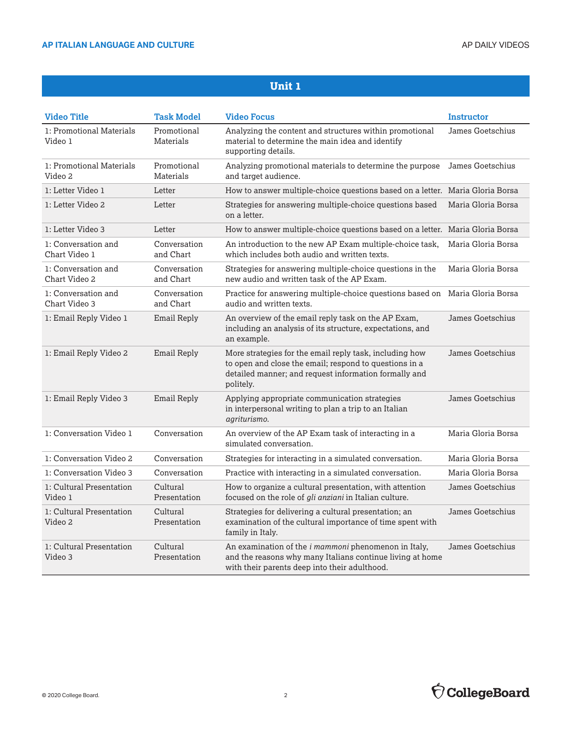| <b>Video Title</b>                   | <b>Task Model</b>         | <b>Video Focus</b>                                                                                                                                                                      | <b>Instructor</b>  |
|--------------------------------------|---------------------------|-----------------------------------------------------------------------------------------------------------------------------------------------------------------------------------------|--------------------|
| 1: Promotional Materials<br>Video 1  | Promotional<br>Materials  | Analyzing the content and structures within promotional<br>material to determine the main idea and identify<br>supporting details.                                                      | James Goetschius   |
| 1: Promotional Materials<br>Video 2  | Promotional<br>Materials  | Analyzing promotional materials to determine the purpose<br>and target audience.                                                                                                        | James Goetschius   |
| 1: Letter Video 1                    | Letter                    | How to answer multiple-choice questions based on a letter. Maria Gloria Borsa                                                                                                           |                    |
| 1: Letter Video 2                    | Letter                    | Strategies for answering multiple-choice questions based<br>on a letter.                                                                                                                | Maria Gloria Borsa |
| 1: Letter Video 3                    | Letter                    | How to answer multiple-choice questions based on a letter. Maria Gloria Borsa                                                                                                           |                    |
| 1: Conversation and<br>Chart Video 1 | Conversation<br>and Chart | An introduction to the new AP Exam multiple-choice task,<br>which includes both audio and written texts.                                                                                | Maria Gloria Borsa |
| 1: Conversation and<br>Chart Video 2 | Conversation<br>and Chart | Strategies for answering multiple-choice questions in the<br>new audio and written task of the AP Exam.                                                                                 | Maria Gloria Borsa |
| 1: Conversation and<br>Chart Video 3 | Conversation<br>and Chart | Practice for answering multiple-choice questions based on Maria Gloria Borsa<br>audio and written texts.                                                                                |                    |
| 1: Email Reply Video 1               | Email Reply               | An overview of the email reply task on the AP Exam,<br>including an analysis of its structure, expectations, and<br>an example.                                                         | James Goetschius   |
| 1: Email Reply Video 2               | <b>Email Reply</b>        | More strategies for the email reply task, including how<br>to open and close the email; respond to questions in a<br>detailed manner; and request information formally and<br>politely. | James Goetschius   |
| 1: Email Reply Video 3               | Email Reply               | Applying appropriate communication strategies<br>in interpersonal writing to plan a trip to an Italian<br>agriturismo.                                                                  | James Goetschius   |
| 1: Conversation Video 1              | Conversation              | An overview of the AP Exam task of interacting in a<br>simulated conversation.                                                                                                          | Maria Gloria Borsa |
| 1: Conversation Video 2              | Conversation              | Strategies for interacting in a simulated conversation.                                                                                                                                 | Maria Gloria Borsa |
| 1: Conversation Video 3              | Conversation              | Practice with interacting in a simulated conversation.                                                                                                                                  | Maria Gloria Borsa |
| 1: Cultural Presentation<br>Video 1  | Cultural<br>Presentation  | How to organize a cultural presentation, with attention<br>focused on the role of gli anziani in Italian culture.                                                                       | James Goetschius   |
| 1: Cultural Presentation<br>Video 2  | Cultural<br>Presentation  | Strategies for delivering a cultural presentation; an<br>examination of the cultural importance of time spent with<br>family in Italy.                                                  | James Goetschius   |
| 1: Cultural Presentation<br>Video 3  | Cultural<br>Presentation  | An examination of the <i>i mammoni</i> phenomenon in Italy,<br>and the reasons why many Italians continue living at home<br>with their parents deep into their adulthood.               | James Goetschius   |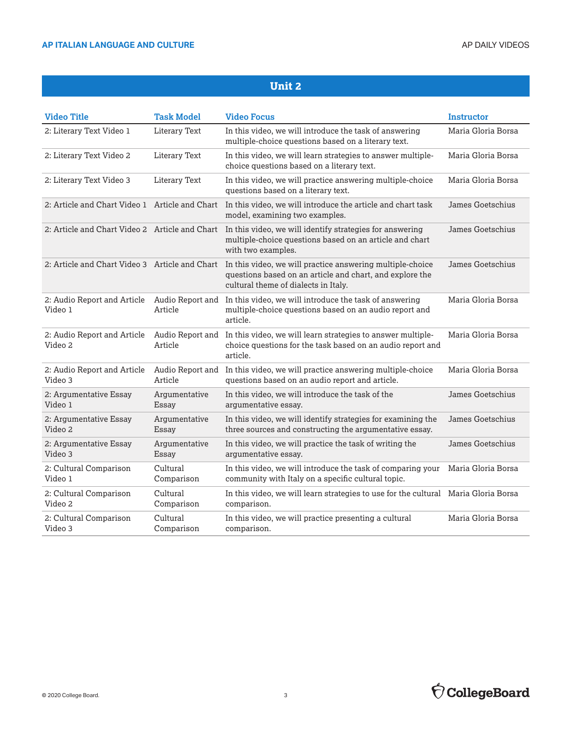#### AP ITALIAN LANGUAGE AND CULTURE **ALLY AUDIT ACCOUNT A LANGUAGE AND CULTURE** AP DAILY VIDEOS

| <b>Video Title</b>                             | <b>Task Model</b>           | <b>Video Focus</b>                                                                                                                                            | <b>Instructor</b>  |
|------------------------------------------------|-----------------------------|---------------------------------------------------------------------------------------------------------------------------------------------------------------|--------------------|
| 2: Literary Text Video 1                       | <b>Literary Text</b>        | In this video, we will introduce the task of answering<br>multiple-choice questions based on a literary text.                                                 | Maria Gloria Borsa |
| 2: Literary Text Video 2                       | <b>Literary Text</b>        | In this video, we will learn strategies to answer multiple-<br>choice questions based on a literary text.                                                     | Maria Gloria Borsa |
| 2: Literary Text Video 3                       | <b>Literary Text</b>        | In this video, we will practice answering multiple-choice<br>questions based on a literary text.                                                              | Maria Gloria Borsa |
| 2: Article and Chart Video 1 Article and Chart |                             | In this video, we will introduce the article and chart task<br>model, examining two examples.                                                                 | James Goetschius   |
| 2: Article and Chart Video 2 Article and Chart |                             | In this video, we will identify strategies for answering<br>multiple-choice questions based on an article and chart<br>with two examples.                     | James Goetschius   |
| 2: Article and Chart Video 3 Article and Chart |                             | In this video, we will practice answering multiple-choice<br>questions based on an article and chart, and explore the<br>cultural theme of dialects in Italy. | James Goetschius   |
| 2: Audio Report and Article<br>Video 1         | Audio Report and<br>Article | In this video, we will introduce the task of answering<br>multiple-choice questions based on an audio report and<br>article.                                  | Maria Gloria Borsa |
| 2: Audio Report and Article<br>Video 2         | Article                     | Audio Report and In this video, we will learn strategies to answer multiple-<br>choice questions for the task based on an audio report and<br>article.        | Maria Gloria Borsa |
| 2: Audio Report and Article<br>Video 3         | Article                     | Audio Report and In this video, we will practice answering multiple-choice<br>questions based on an audio report and article.                                 | Maria Gloria Borsa |
| 2: Argumentative Essay<br>Video 1              | Argumentative<br>Essay      | In this video, we will introduce the task of the<br>argumentative essay.                                                                                      | James Goetschius   |
| 2: Argumentative Essay<br>Video 2              | Argumentative<br>Essay      | In this video, we will identify strategies for examining the<br>three sources and constructing the argumentative essay.                                       | James Goetschius   |
| 2: Argumentative Essay<br>Video 3              | Argumentative<br>Essay      | In this video, we will practice the task of writing the<br>argumentative essay.                                                                               | James Goetschius   |
| 2: Cultural Comparison<br>Video 1              | Cultural<br>Comparison      | In this video, we will introduce the task of comparing your<br>community with Italy on a specific cultural topic.                                             | Maria Gloria Borsa |
| 2: Cultural Comparison<br>Video 2              | Cultural<br>Comparison      | In this video, we will learn strategies to use for the cultural Maria Gloria Borsa<br>comparison.                                                             |                    |
| 2: Cultural Comparison<br>Video 3              | Cultural<br>Comparison      | In this video, we will practice presenting a cultural<br>comparison.                                                                                          | Maria Gloria Borsa |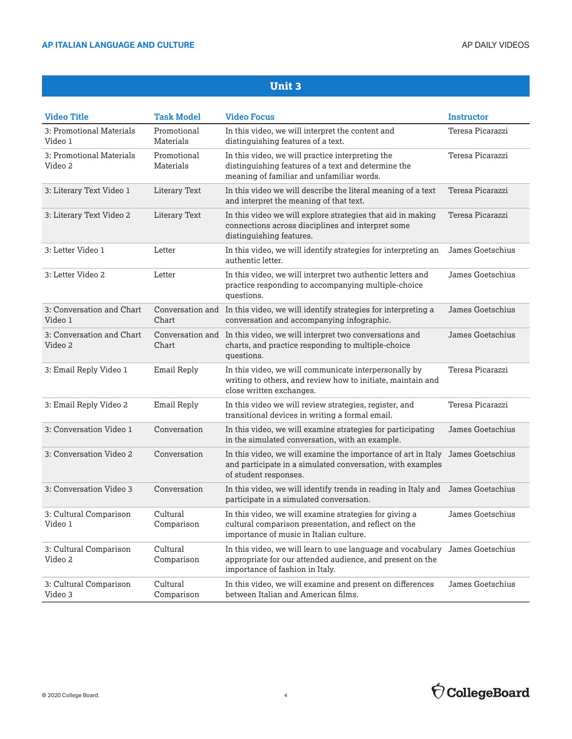#### AP ITALIAN LANGUAGE AND CULTURE **ALLY AND SELL ASSESSED A LIGHT AND ALLY AP DAILY VIDEOS**

| <b>Video Title</b>                   | <b>Task Model</b>         | <b>Video Focus</b>                                                                                                                                                           | <b>Instructor</b> |
|--------------------------------------|---------------------------|------------------------------------------------------------------------------------------------------------------------------------------------------------------------------|-------------------|
| 3: Promotional Materials<br>Video 1  | Promotional<br>Materials  | In this video, we will interpret the content and<br>distinguishing features of a text.                                                                                       | Teresa Picarazzi  |
| 3: Promotional Materials<br>Video 2  | Promotional<br>Materials  | In this video, we will practice interpreting the<br>distinguishing features of a text and determine the<br>meaning of familiar and unfamiliar words.                         | Teresa Picarazzi  |
| 3: Literary Text Video 1             | Literary Text             | In this video we will describe the literal meaning of a text<br>and interpret the meaning of that text.                                                                      | Teresa Picarazzi  |
| 3: Literary Text Video 2             | Literary Text             | In this video we will explore strategies that aid in making<br>connections across disciplines and interpret some<br>distinguishing features.                                 | Teresa Picarazzi  |
| 3: Letter Video 1                    | Letter                    | In this video, we will identify strategies for interpreting an<br>authentic letter.                                                                                          | James Goetschius  |
| 3: Letter Video 2                    | Letter                    | In this video, we will interpret two authentic letters and<br>practice responding to accompanying multiple-choice<br>questions.                                              | James Goetschius  |
| 3: Conversation and Chart<br>Video 1 | Conversation and<br>Chart | In this video, we will identify strategies for interpreting a<br>conversation and accompanying infographic.                                                                  | James Goetschius  |
| 3: Conversation and Chart<br>Video 2 | Chart                     | Conversation and In this video, we will interpret two conversations and<br>charts, and practice responding to multiple-choice<br>questions.                                  | James Goetschius  |
| 3: Email Reply Video 1               | Email Reply               | In this video, we will communicate interpersonally by<br>writing to others, and review how to initiate, maintain and<br>close written exchanges.                             | Teresa Picarazzi  |
| 3: Email Reply Video 2               | <b>Email Reply</b>        | In this video we will review strategies, register, and<br>transitional devices in writing a formal email.                                                                    | Teresa Picarazzi  |
| 3: Conversation Video 1              | Conversation              | In this video, we will examine strategies for participating<br>in the simulated conversation, with an example.                                                               | James Goetschius  |
| 3: Conversation Video 2              | Conversation              | In this video, we will examine the importance of art in Italy James Goetschius<br>and participate in a simulated conversation, with examples<br>of student responses.        |                   |
| 3: Conversation Video 3              | Conversation              | In this video, we will identify trends in reading in Italy and James Goetschius<br>participate in a simulated conversation.                                                  |                   |
| 3: Cultural Comparison<br>Video 1    | Cultural<br>Comparison    | In this video, we will examine strategies for giving a<br>cultural comparison presentation, and reflect on the<br>importance of music in Italian culture.                    | James Goetschius  |
| 3: Cultural Comparison<br>Video 2    | Cultural<br>Comparison    | In this video, we will learn to use language and vocabulary James Goetschius<br>appropriate for our attended audience, and present on the<br>importance of fashion in Italy. |                   |
| 3: Cultural Comparison<br>Video 3    | Cultural<br>Comparison    | In this video, we will examine and present on differences<br>between Italian and American films.                                                                             | James Goetschius  |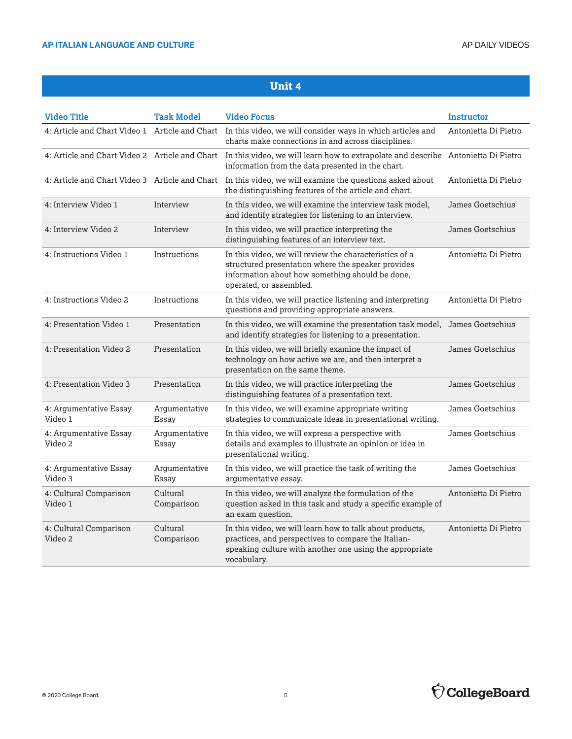| <b>Video Title</b>                             | <b>Task Model</b>      | <b>Video Focus</b>                                                                                                                                                                         | <b>Instructor</b>    |
|------------------------------------------------|------------------------|--------------------------------------------------------------------------------------------------------------------------------------------------------------------------------------------|----------------------|
| 4: Article and Chart Video 1 Article and Chart |                        | In this video, we will consider ways in which articles and<br>charts make connections in and across disciplines.                                                                           | Antonietta Di Pietro |
|                                                |                        | 4: Article and Chart Video 2 Article and Chart In this video, we will learn how to extrapolate and describe Antonietta Di Pietro<br>information from the data presented in the chart.      |                      |
|                                                |                        | 4: Article and Chart Video 3 Article and Chart In this video, we will examine the questions asked about<br>the distinguishing features of the article and chart.                           | Antonietta Di Pietro |
| 4: Interview Video 1                           | Interview              | In this video, we will examine the interview task model,<br>and identify strategies for listening to an interview.                                                                         | James Goetschius     |
| 4: Interview Video 2                           | Interview              | In this video, we will practice interpreting the<br>distinguishing features of an interview text.                                                                                          | James Goetschius     |
| 4: Instructions Video 1                        | Instructions           | In this video, we will review the characteristics of a<br>structured presentation where the speaker provides<br>information about how something should be done,<br>operated, or assembled. | Antonietta Di Pietro |
| 4: Instructions Video 2                        | Instructions           | In this video, we will practice listening and interpreting<br>questions and providing appropriate answers.                                                                                 | Antonietta Di Pietro |
| 4: Presentation Video 1                        | Presentation           | In this video, we will examine the presentation task model,<br>and identify strategies for listening to a presentation.                                                                    | James Goetschius     |
| 4: Presentation Video 2                        | Presentation           | In this video, we will briefly examine the impact of<br>technology on how active we are, and then interpret a<br>presentation on the same theme.                                           | James Goetschius     |
| 4: Presentation Video 3                        | Presentation           | In this video, we will practice interpreting the<br>distinguishing features of a presentation text.                                                                                        | James Goetschius     |
| 4: Argumentative Essay<br>Video 1              | Argumentative<br>Essay | In this video, we will examine appropriate writing<br>strategies to communicate ideas in presentational writing.                                                                           | James Goetschius     |
| 4: Argumentative Essay<br>Video 2              | Argumentative<br>Essay | In this video, we will express a perspective with<br>details and examples to illustrate an opinion or idea in<br>presentational writing.                                                   | James Goetschius     |
| 4: Argumentative Essay<br>Video 3              | Argumentative<br>Essay | In this video, we will practice the task of writing the<br>argumentative essay.                                                                                                            | James Goetschius     |
| 4: Cultural Comparison<br>Video 1              | Cultural<br>Comparison | In this video, we will analyze the formulation of the<br>question asked in this task and study a specific example of<br>an exam question.                                                  | Antonietta Di Pietro |
| 4: Cultural Comparison<br>Video 2              | Cultural<br>Comparison | In this video, we will learn how to talk about products,<br>practices, and perspectives to compare the Italian-<br>speaking culture with another one using the appropriate<br>vocabulary.  | Antonietta Di Pietro |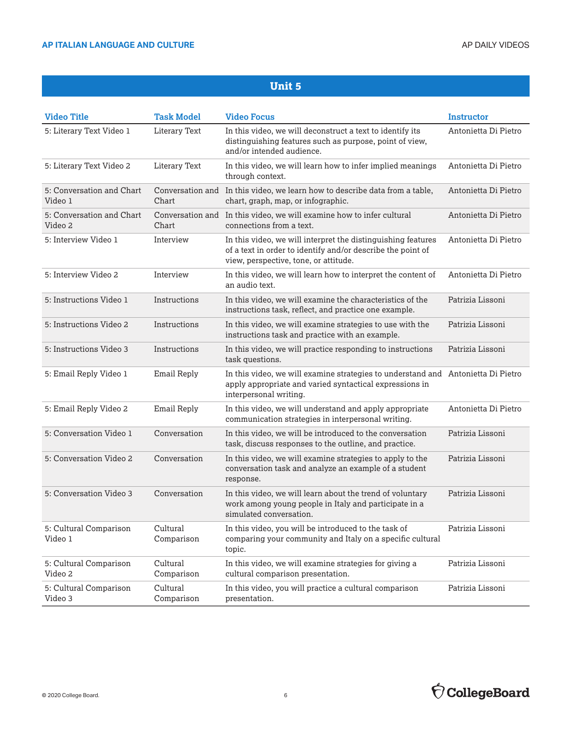| <b>Video Title</b>                   | <b>Task Model</b>      | <b>Video Focus</b>                                                                                                                                                    | Instructor           |
|--------------------------------------|------------------------|-----------------------------------------------------------------------------------------------------------------------------------------------------------------------|----------------------|
| 5: Literary Text Video 1             | Literary Text          | In this video, we will deconstruct a text to identify its<br>distinguishing features such as purpose, point of view,<br>and/or intended audience.                     | Antonietta Di Pietro |
| 5: Literary Text Video 2             | Literary Text          | In this video, we will learn how to infer implied meanings<br>through context.                                                                                        | Antonietta Di Pietro |
| 5: Conversation and Chart<br>Video 1 | Chart                  | Conversation and In this video, we learn how to describe data from a table,<br>chart, graph, map, or infographic.                                                     | Antonietta Di Pietro |
| 5: Conversation and Chart<br>Video 2 | Chart                  | Conversation and In this video, we will examine how to infer cultural<br>connections from a text.                                                                     | Antonietta Di Pietro |
| 5: Interview Video 1                 | Interview              | In this video, we will interpret the distinguishing features<br>of a text in order to identify and/or describe the point of<br>view, perspective, tone, or attitude.  | Antonietta Di Pietro |
| 5: Interview Video 2                 | Interview              | In this video, we will learn how to interpret the content of<br>an audio text.                                                                                        | Antonietta Di Pietro |
| 5: Instructions Video 1              | Instructions           | In this video, we will examine the characteristics of the<br>instructions task, reflect, and practice one example.                                                    | Patrizia Lissoni     |
| 5: Instructions Video 2              | Instructions           | In this video, we will examine strategies to use with the<br>instructions task and practice with an example.                                                          | Patrizia Lissoni     |
| 5: Instructions Video 3              | Instructions           | In this video, we will practice responding to instructions<br>task questions.                                                                                         | Patrizia Lissoni     |
| 5: Email Reply Video 1               | Email Reply            | In this video, we will examine strategies to understand and Antonietta Di Pietro<br>apply appropriate and varied syntactical expressions in<br>interpersonal writing. |                      |
| 5: Email Reply Video 2               | Email Reply            | In this video, we will understand and apply appropriate<br>communication strategies in interpersonal writing.                                                         | Antonietta Di Pietro |
| 5: Conversation Video 1              | Conversation           | In this video, we will be introduced to the conversation<br>task, discuss responses to the outline, and practice.                                                     | Patrizia Lissoni     |
| 5: Conversation Video 2              | Conversation           | In this video, we will examine strategies to apply to the<br>conversation task and analyze an example of a student<br>response.                                       | Patrizia Lissoni     |
| 5: Conversation Video 3              | Conversation           | In this video, we will learn about the trend of voluntary<br>work among young people in Italy and participate in a<br>simulated conversation.                         | Patrizia Lissoni     |
| 5: Cultural Comparison<br>Video 1    | Cultural<br>Comparison | In this video, you will be introduced to the task of<br>comparing your community and Italy on a specific cultural<br>topic.                                           | Patrizia Lissoni     |
| 5: Cultural Comparison<br>Video 2    | Cultural<br>Comparison | In this video, we will examine strategies for giving a<br>cultural comparison presentation.                                                                           | Patrizia Lissoni     |
| 5: Cultural Comparison<br>Video 3    | Cultural<br>Comparison | In this video, you will practice a cultural comparison<br>presentation.                                                                                               | Patrizia Lissoni     |